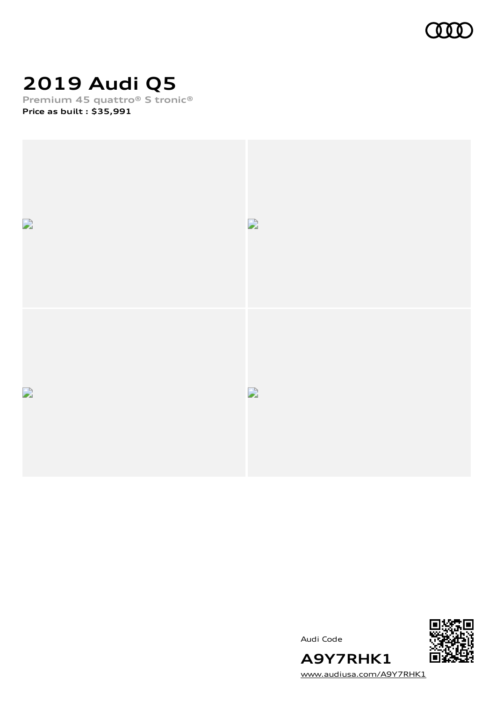

# **2019 Audi Q5**

**Premium 45 quattro® S tronic® Price as built [:](#page-10-0) \$35,991**



Audi Code



[www.audiusa.com/A9Y7RHK1](https://www.audiusa.com/A9Y7RHK1)

**A9Y7RHK1**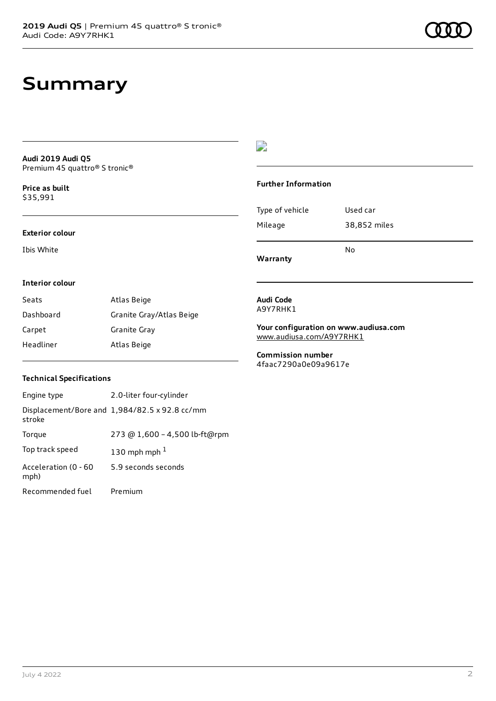# **Summary**

**Audi 2019 Audi Q5** Premium 45 quattro® S tronic®

**Price as buil[t](#page-10-0)** \$35,991

#### **Exterior colour**

Ibis White

# $\overline{\phantom{a}}$

#### **Further Information**

Type of vehicle Used car Mileage 38,852 miles No

**Warranty**

#### **Interior colour**

| Seats     | Atlas Beige              |
|-----------|--------------------------|
| Dashboard | Granite Gray/Atlas Beige |
| Carpet    | Granite Gray             |
| Headliner | Atlas Beige              |

#### **Audi Code** A9Y7RHK1

**Your configuration on www.audiusa.com**

[www.audiusa.com/A9Y7RHK1](https://www.audiusa.com/A9Y7RHK1)

**Commission number** 4faac7290a0e09a9617e

## **Technical Specifications**

| Engine type                  | 2.0-liter four-cylinder                       |
|------------------------------|-----------------------------------------------|
| stroke                       | Displacement/Bore and 1,984/82.5 x 92.8 cc/mm |
| Torque                       | 273 @ 1,600 - 4,500 lb-ft@rpm                 |
| Top track speed              | 130 mph mph $1$                               |
| Acceleration (0 - 60<br>mph) | 5.9 seconds seconds                           |
| Recommended fuel             | Premium                                       |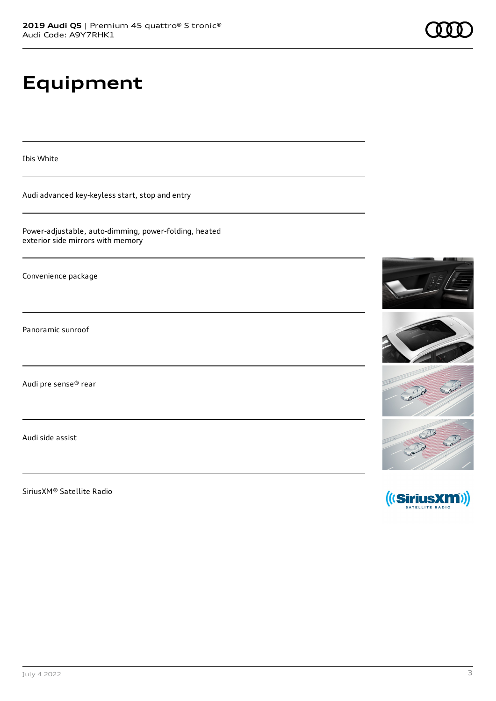# **Equipment**

Ibis White

Audi advanced key-keyless start, stop and entry

Power-adjustable, auto-dimming, power-folding, heated exterior side mirrors with memory

Convenience package

Panoramic sunroof

Audi pre sense® rear

Audi side assist

SiriusXM® Satellite Radio

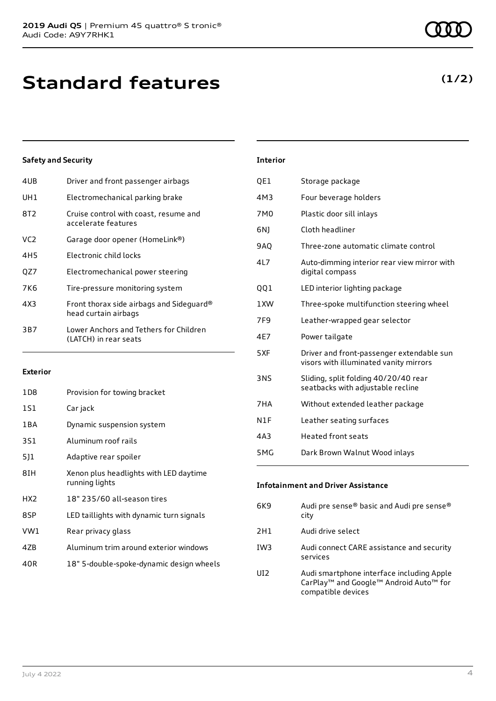| 4UB             | Driver and front passenger airbags                               |
|-----------------|------------------------------------------------------------------|
| UH1             | Electromechanical parking brake                                  |
| 8T2             | Cruise control with coast, resume and<br>accelerate features     |
| VC <sub>2</sub> | Garage door opener (HomeLink®)                                   |
| 4H5             | Electronic child locks                                           |
| OZ7             | Electromechanical power steering                                 |
| 7K6             | Tire-pressure monitoring system                                  |
| 4X3             | Front thorax side airbags and Sideguard®<br>head curtain airbags |
| 3B7             | Lower Anchors and Tethers for Children<br>(LATCH) in rear seats  |
|                 |                                                                  |

## **Exterior**

| 1D8             | Provision for towing bracket                             |
|-----------------|----------------------------------------------------------|
| 1S1             | Car jack                                                 |
| 1 B A           | Dynamic suspension system                                |
| 3S1             | Aluminum roof rails                                      |
| 5]1             | Adaptive rear spoiler                                    |
| 8IH             | Xenon plus headlights with LED daytime<br>running lights |
| HX <sub>2</sub> | 18" 235/60 all-season tires                              |
| 8SP             | LED taillights with dynamic turn signals                 |
| VW1             | Rear privacy glass                                       |
| 4ZB             | Aluminum trim around exterior windows                    |
| 40R             | 18" 5-double-spoke-dynamic design wheels                 |

| <b>Interior</b> |                                                                                     |
|-----------------|-------------------------------------------------------------------------------------|
| QE1             | Storage package                                                                     |
| 4M3             | Four beverage holders                                                               |
| 7M <sub>0</sub> | Plastic door sill inlays                                                            |
| 6N)             | Cloth headliner                                                                     |
| <b>9AO</b>      | Three-zone automatic climate control                                                |
| 4L7             | Auto-dimming interior rear view mirror with<br>digital compass                      |
| QQ1             | LED interior lighting package                                                       |
| 1XW             | Three-spoke multifunction steering wheel                                            |
| 7F9             | Leather-wrapped gear selector                                                       |
| 4E7             | Power tailgate                                                                      |
| 5XF             | Driver and front-passenger extendable sun<br>visors with illuminated vanity mirrors |
| 3NS             | Sliding, split folding 40/20/40 rear<br>seatbacks with adjustable recline           |
| 7HA             | Without extended leather package                                                    |
| N1F             | Leather seating surfaces                                                            |
| 4A3             | <b>Heated front seats</b>                                                           |
| 5MG             | Dark Brown Walnut Wood inlays                                                       |

| <b>Infotainment and Driver Assistance</b> |                                           |  |
|-------------------------------------------|-------------------------------------------|--|
| 6K9                                       | Audi pre sense® basic and Audi pre sense® |  |

|     | city                                                                                                                                          |
|-----|-----------------------------------------------------------------------------------------------------------------------------------------------|
| 2H1 | Audi drive select                                                                                                                             |
| IW3 | Audi connect CARE assistance and security<br>services                                                                                         |
| UI2 | Audi smartphone interface including Apple<br>CarPlay <sup>™</sup> and Google <sup>™</sup> Android Auto <sup>™</sup> for<br>compatible devices |

# **(1/2)**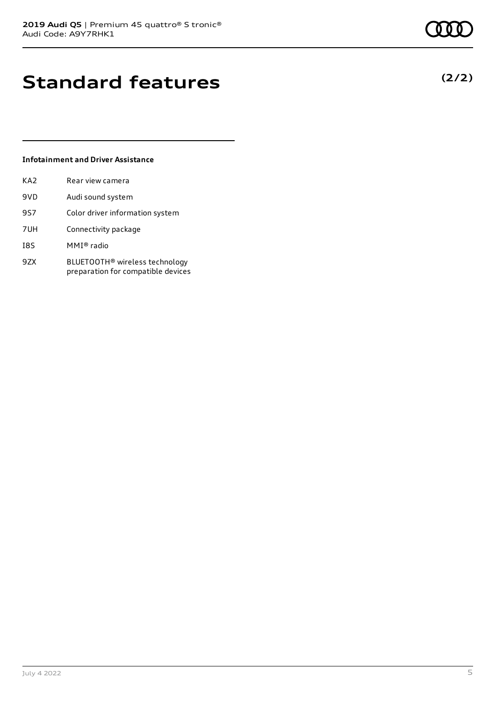# **Standard features**

## **Infotainment and Driver Assistance**

| KA2        | Rear view camera                                                                 |
|------------|----------------------------------------------------------------------------------|
| 9VD        | Audi sound system                                                                |
| <b>9S7</b> | Color driver information system                                                  |
| 7UH        | Connectivity package                                                             |
| I8S        | MMI® radio                                                                       |
| 9ZX        | BLUETOOTH <sup>®</sup> wireless technology<br>preparation for compatible devices |

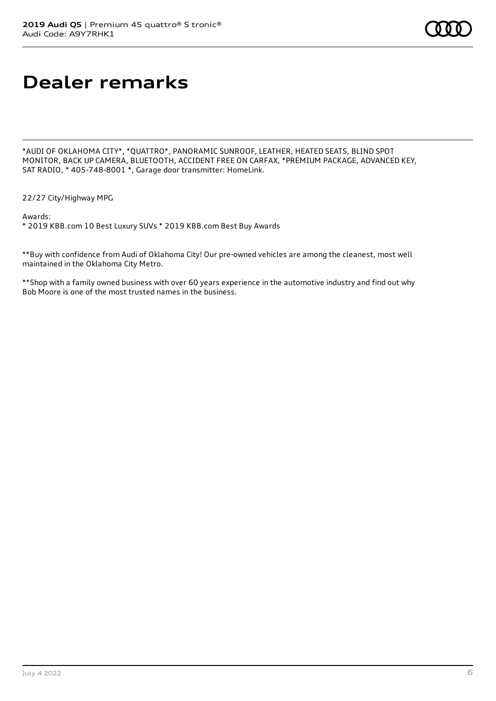# **Dealer remarks**

\*AUDI OF OKLAHOMA CITY\*, \*QUATTRO\*, PANORAMIC SUNROOF, LEATHER, HEATED SEATS, BLIND SPOT MONITOR, BACK UP CAMERA, BLUETOOTH, ACCIDENT FREE ON CARFAX, \*PREMIUM PACKAGE, ADVANCED KEY, SAT RADIO, \* 405-748-8001 \*, Garage door transmitter: HomeLink.

22/27 City/Highway MPG

Awards:

\* 2019 KBB.com 10 Best Luxury SUVs \* 2019 KBB.com Best Buy Awards

\*\*Buy with confidence from Audi of Oklahoma City! Our pre-owned vehicles are among the cleanest, most well maintained in the Oklahoma City Metro.

\*\*Shop with a family owned business with over 60 years experience in the automotive industry and find out why Bob Moore is one of the most trusted names in the business.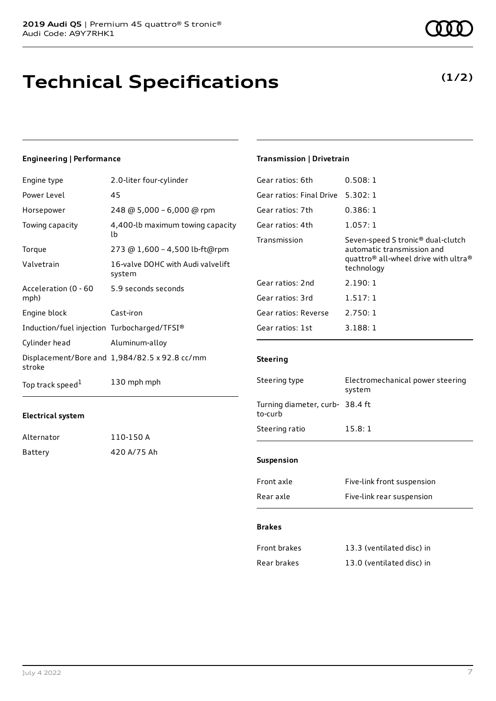# **Technical Specifications**

### **Engineering | Performance**

| Engine type                                 | 2.0-liter four-cylinder                       |
|---------------------------------------------|-----------------------------------------------|
| Power Level                                 | 45                                            |
| Horsepower                                  | 248 @ 5,000 - 6,000 @ rpm                     |
| Towing capacity                             | 4,400-lb maximum towing capacity<br>lb        |
| Torque                                      | 273 @ 1,600 - 4,500 lb-ft@rpm                 |
| Valvetrain                                  | 16-valve DOHC with Audi valvelift<br>system   |
| Acceleration (0 - 60<br>mph)                | 5.9 seconds seconds                           |
| Engine block                                | Cast-iron                                     |
| Induction/fuel injection Turbocharged/TFSI® |                                               |
| Cylinder head                               | Aluminum-alloy                                |
| stroke                                      | Displacement/Bore and 1,984/82.5 x 92.8 cc/mm |
| Top track speed <sup>1</sup>                | 130 mph mph                                   |

#### **Electrical system**

| Alternator | 110-150 A   |
|------------|-------------|
| Battery    | 420 A/75 Ah |

# **Transmission | Drivetrain**

| Gear ratios: 6th         | 0.508:1                                                                                                                                                   |
|--------------------------|-----------------------------------------------------------------------------------------------------------------------------------------------------------|
| Gear ratios: Final Drive | 5.302:1                                                                                                                                                   |
| Gear ratios: 7th         | 0.386:1                                                                                                                                                   |
| Gear ratios: 4th         | 1.057:1                                                                                                                                                   |
| Transmission             | Seven-speed S tronic <sup>®</sup> dual-clutch<br>automatic transmission and<br>quattro <sup>®</sup> all-wheel drive with ultra <sup>®</sup><br>technology |
| Gear ratios: 2nd         | 2.190:1                                                                                                                                                   |
| Gear ratios: 3rd         | 1.517:1                                                                                                                                                   |
| Gear ratios: Reverse     | 2.750:1                                                                                                                                                   |
| Gear ratios: 1st         | 3.188:1                                                                                                                                                   |
|                          |                                                                                                                                                           |

### **Steering**

| Steering type                              | Electromechanical power steering<br>system |
|--------------------------------------------|--------------------------------------------|
| Turning diameter, curb- 38.4 ft<br>to-curb |                                            |
| Steering ratio                             | 15.8:1                                     |
|                                            |                                            |
| <b>Suspension</b>                          |                                            |
| Front axle                                 | Five-link front suspension                 |
| Rear axle                                  | Five-link rear suspension                  |

#### **Brakes**

| Front brakes | 13.3 (ventilated disc) in |
|--------------|---------------------------|
| Rear brakes  | 13.0 (ventilated disc) in |

**(1/2)**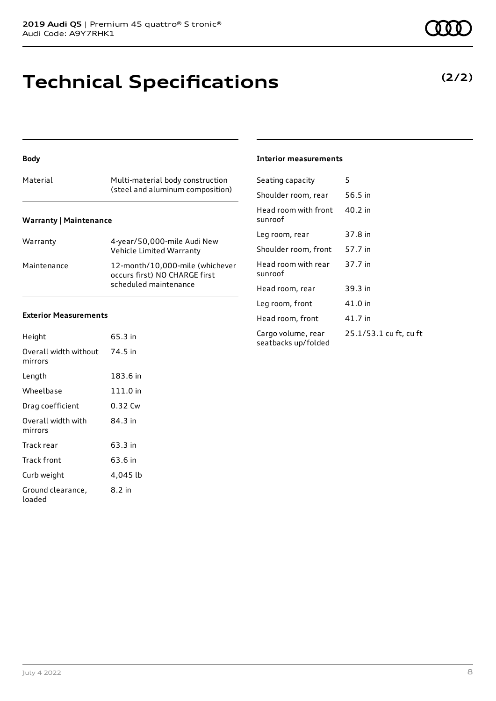# **Technical Specifications**

#### **Body**

| Material                      | Multi-material body construction<br>(steel and aluminum composition) |
|-------------------------------|----------------------------------------------------------------------|
| <b>Warranty   Maintenance</b> |                                                                      |

| Warranty    | 4-year/50,000-mile Audi New<br>Vehicle Limited Warranty                                   |
|-------------|-------------------------------------------------------------------------------------------|
| Maintenance | 12-month/10.000-mile (whichever<br>occurs first) NO CHARGE first<br>scheduled maintenance |

#### **Exterior Measurements**

| Height                           | 65.3 in  |
|----------------------------------|----------|
| Overall width without<br>mirrors | 74.5 in  |
| Length                           | 183.6 in |
| Wheelbase                        | 111.0 in |
| Drag coefficient                 | 0.32 Cw  |
| Overall width with<br>mirrors    | 84.3 in  |
| Track rear                       | 63.3 in  |
| Track front                      | 63.6 in  |
| Curb weight                      | 4,045 lb |
| Ground clearance,<br>loaded      | 8.2 in   |

#### **Interior measurements**

| Seating capacity                          | 5                      |
|-------------------------------------------|------------------------|
| Shoulder room, rear                       | 56.5 in                |
| Head room with front<br>sunroof           | 40.2 in                |
| Leg room, rear                            | 37.8 in                |
| Shoulder room, front                      | 57.7 in                |
| Head room with rear<br>sunroof            | 37.7 in                |
| Head room, rear                           | 39.3 in                |
| Leg room, front                           | 41.0 in                |
| Head room, front                          | 41.7 in                |
| Cargo volume, rear<br>seatbacks up/folded | 25.1/53.1 cu ft, cu ft |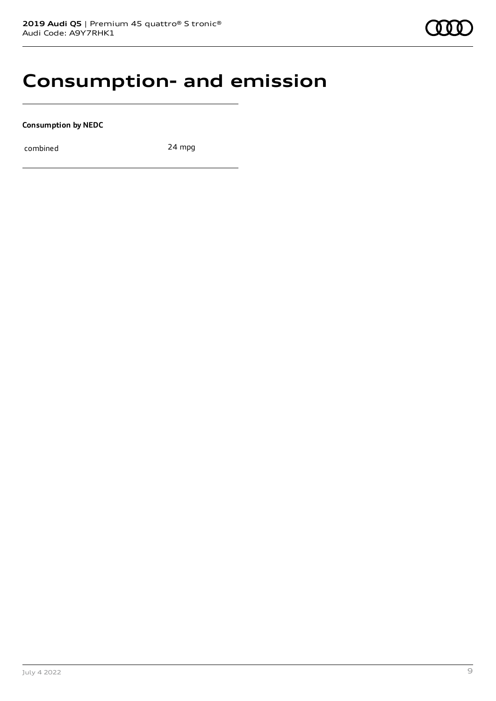# **Consumption- and emission**

**Consumption by NEDC**

combined 24 mpg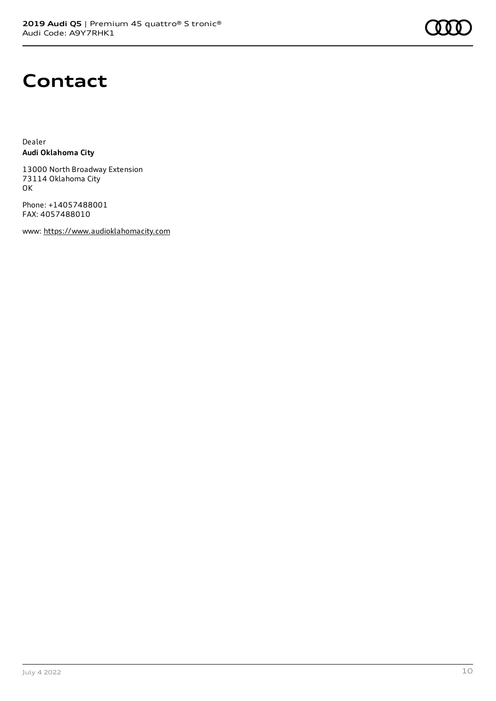

# **Contact**

Dealer **Audi Oklahoma City**

13000 North Broadway Extension 73114 Oklahoma City OK

Phone: +14057488001 FAX: 4057488010

www: [https://www.audioklahomacity.com](https://www.audioklahomacity.com/)